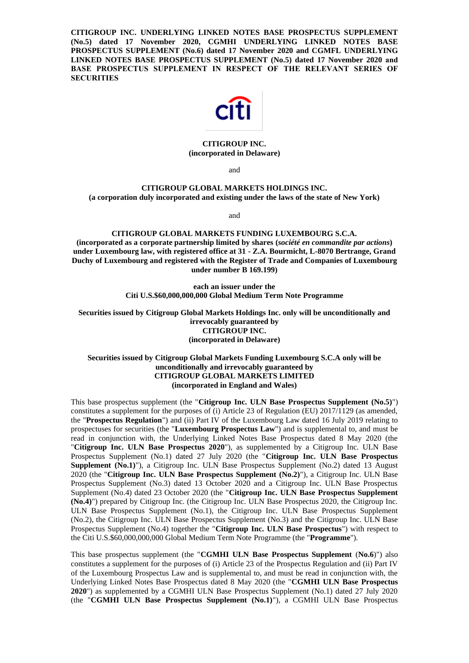**CITIGROUP INC. UNDERLYING LINKED NOTES BASE PROSPECTUS SUPPLEMENT (No.5) dated 17 November 2020, CGMHI UNDERLYING LINKED NOTES BASE PROSPECTUS SUPPLEMENT (No.6) dated 17 November 2020 and CGMFL UNDERLYING LINKED NOTES BASE PROSPECTUS SUPPLEMENT (No.5) dated 17 November 2020 and BASE PROSPECTUS SUPPLEMENT IN RESPECT OF THE RELEVANT SERIES OF SECURITIES**



# **CITIGROUP INC. (incorporated in Delaware)**

and

### **CITIGROUP GLOBAL MARKETS HOLDINGS INC. (a corporation duly incorporated and existing under the laws of the state of New York)**

and

# **CITIGROUP GLOBAL MARKETS FUNDING LUXEMBOURG S.C.A. (incorporated as a corporate partnership limited by shares (***société en commandite par actions***) under Luxembourg law, with registered office at 31 - Z.A. Bourmicht, L-8070 Bertrange, Grand Duchy of Luxembourg and registered with the Register of Trade and Companies of Luxembourg under number B 169.199)**

**each an issuer under the Citi U.S.\$60,000,000,000 Global Medium Term Note Programme**

**Securities issued by Citigroup Global Markets Holdings Inc. only will be unconditionally and irrevocably guaranteed by CITIGROUP INC. (incorporated in Delaware)**

# **Securities issued by Citigroup Global Markets Funding Luxembourg S.C.A only will be unconditionally and irrevocably guaranteed by CITIGROUP GLOBAL MARKETS LIMITED (incorporated in England and Wales)**

This base prospectus supplement (the "**Citigroup Inc. ULN Base Prospectus Supplement (No.5)**") constitutes a supplement for the purposes of (i) Article 23 of Regulation (EU) 2017/1129 (as amended, the "**Prospectus Regulation**") and (ii) Part IV of the Luxembourg Law dated 16 July 2019 relating to prospectuses for securities (the "**Luxembourg Prospectus Law**") and is supplemental to, and must be read in conjunction with, the Underlying Linked Notes Base Prospectus dated 8 May 2020 (the "**Citigroup Inc. ULN Base Prospectus 2020**"), as supplemented by a Citigroup Inc. ULN Base Prospectus Supplement (No.1) dated 27 July 2020 (the "**Citigroup Inc. ULN Base Prospectus Supplement (No.1)"), a Citigroup Inc. ULN Base Prospectus Supplement (No.2) dated 13 August** 2020 (the "**Citigroup Inc. ULN Base Prospectus Supplement (No.2)**"), a Citigroup Inc. ULN Base Prospectus Supplement (No.3) dated 13 October 2020 and a Citigroup Inc. ULN Base Prospectus Supplement (No.4) dated 23 October 2020 (the "**Citigroup Inc. ULN Base Prospectus Supplement (No.4)**") prepared by Citigroup Inc. (the Citigroup Inc. ULN Base Prospectus 2020, the Citigroup Inc. ULN Base Prospectus Supplement (No.1), the Citigroup Inc. ULN Base Prospectus Supplement (No.2), the Citigroup Inc. ULN Base Prospectus Supplement (No.3) and the Citigroup Inc. ULN Base Prospectus Supplement (No.4) together the "**Citigroup Inc. ULN Base Prospectus**") with respect to the Citi U.S.\$60,000,000,000 Global Medium Term Note Programme (the "**Programme**").

This base prospectus supplement (the "**CGMHI ULN Base Prospectus Supplement** (**No.6**)") also constitutes a supplement for the purposes of (i) Article 23 of the Prospectus Regulation and (ii) Part IV of the Luxembourg Prospectus Law and is supplemental to, and must be read in conjunction with, the Underlying Linked Notes Base Prospectus dated 8 May 2020 (the "**CGMHI ULN Base Prospectus 2020**") as supplemented by a CGMHI ULN Base Prospectus Supplement (No.1) dated 27 July 2020 (the "**CGMHI ULN Base Prospectus Supplement (No.1)**"), a CGMHI ULN Base Prospectus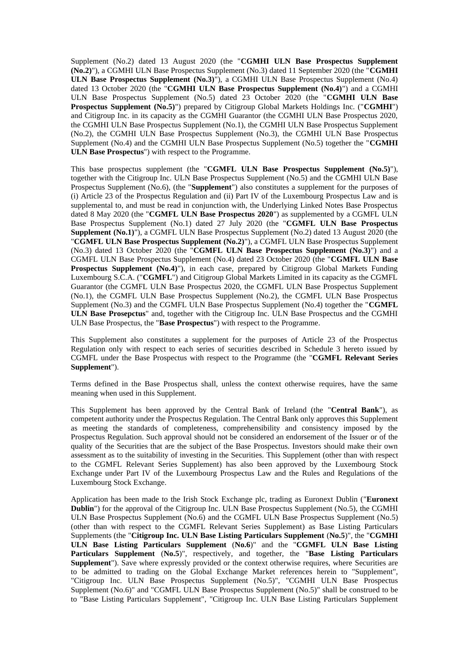Supplement (No.2) dated 13 August 2020 (the "**CGMHI ULN Base Prospectus Supplement (No.2)**"), a CGMHI ULN Base Prospectus Supplement (No.3) dated 11 September 2020 (the "**CGMHI ULN Base Prospectus Supplement (No.3)**"), a CGMHI ULN Base Prospectus Supplement (No.4) dated 13 October 2020 (the "**CGMHI ULN Base Prospectus Supplement (No.4)**") and a CGMHI ULN Base Prospectus Supplement (No.5) dated 23 October 2020 (the "**CGMHI ULN Base Prospectus Supplement (No.5)**") prepared by Citigroup Global Markets Holdings Inc. ("**CGMHI**") and Citigroup Inc. in its capacity as the CGMHI Guarantor (the CGMHI ULN Base Prospectus 2020, the CGMHI ULN Base Prospectus Supplement (No.1), the CGMHI ULN Base Prospectus Supplement (No.2), the CGMHI ULN Base Prospectus Supplement (No.3), the CGMHI ULN Base Prospectus Supplement (No.4) and the CGMHI ULN Base Prospectus Supplement (No.5) together the "**CGMHI ULN Base Prospectus**") with respect to the Programme.

This base prospectus supplement (the "**CGMFL ULN Base Prospectus Supplement (No.5)**"), together with the Citigroup Inc. ULN Base Prospectus Supplement (No.5) and the CGMHI ULN Base Prospectus Supplement (No.6), (the "**Supplement**") also constitutes a supplement for the purposes of (i) Article 23 of the Prospectus Regulation and (ii) Part IV of the Luxembourg Prospectus Law and is supplemental to, and must be read in conjunction with, the Underlying Linked Notes Base Prospectus dated 8 May 2020 (the "**CGMFL ULN Base Prospectus 2020**") as supplemented by a CGMFL ULN Base Prospectus Supplement (No.1) dated 27 July 2020 (the "**CGMFL ULN Base Prospectus Supplement (No.1)**"), a CGMFL ULN Base Prospectus Supplement (No.2) dated 13 August 2020 (the "**CGMFL ULN Base Prospectus Supplement (No.2)**"), a CGMFL ULN Base Prospectus Supplement (No.3) dated 13 October 2020 (the "**CGMFL ULN Base Prospectus Supplement (No.3)**") and a CGMFL ULN Base Prospectus Supplement (No.4) dated 23 October 2020 (the "**CGMFL ULN Base Prospectus Supplement (No.4)"), in each case, prepared by Citigroup Global Markets Funding** Luxembourg S.C.A. ("**CGMFL**") and Citigroup Global Markets Limited in its capacity as the CGMFL Guarantor (the CGMFL ULN Base Prospectus 2020, the CGMFL ULN Base Prospectus Supplement (No.1), the CGMFL ULN Base Prospectus Supplement (No.2), the CGMFL ULN Base Prospectus Supplement (No.3) and the CGMFL ULN Base Prospectus Supplement (No.4) together the "**CGMFL ULN Base Prosepctus**" and, together with the Citigroup Inc. ULN Base Prospectus and the CGMHI ULN Base Prospectus, the "**Base Prospectus**") with respect to the Programme.

This Supplement also constitutes a supplement for the purposes of Article 23 of the Prospectus Regulation only with respect to each series of securities described in Schedule 3 hereto issued by CGMFL under the Base Prospectus with respect to the Programme (the "**CGMFL Relevant Series Supplement**").

Terms defined in the Base Prospectus shall, unless the context otherwise requires, have the same meaning when used in this Supplement.

This Supplement has been approved by the Central Bank of Ireland (the "**Central Bank**"), as competent authority under the Prospectus Regulation. The Central Bank only approves this Supplement as meeting the standards of completeness, comprehensibility and consistency imposed by the Prospectus Regulation. Such approval should not be considered an endorsement of the Issuer or of the quality of the Securities that are the subject of the Base Prospectus. Investors should make their own assessment as to the suitability of investing in the Securities. This Supplement (other than with respect to the CGMFL Relevant Series Supplement) has also been approved by the Luxembourg Stock Exchange under Part IV of the Luxembourg Prospectus Law and the Rules and Regulations of the Luxembourg Stock Exchange.

Application has been made to the Irish Stock Exchange plc, trading as Euronext Dublin ("**Euronext Dublin**") for the approval of the Citigroup Inc. ULN Base Prospectus Supplement (No.5), the CGMHI ULN Base Prospectus Supplement (No.6) and the CGMFL ULN Base Prospectus Supplement (No.5) (other than with respect to the CGMFL Relevant Series Supplement) as Base Listing Particulars Supplements (the "**Citigroup Inc. ULN Base Listing Particulars Supplement** (**No.5**)", the "**CGMHI ULN Base Listing Particulars Supplement** (**No.6**)" and the "**CGMFL ULN Base Listing Particulars Supplement** (**No.5**)", respectively, and together, the "**Base Listing Particulars Supplement**"). Save where expressly provided or the context otherwise requires, where Securities are to be admitted to trading on the Global Exchange Market references herein to "Supplement", "Citigroup Inc. ULN Base Prospectus Supplement (No.5)", "CGMHI ULN Base Prospectus Supplement (No.6)" and "CGMFL ULN Base Prospectus Supplement (No.5)" shall be construed to be to "Base Listing Particulars Supplement", "Citigroup Inc. ULN Base Listing Particulars Supplement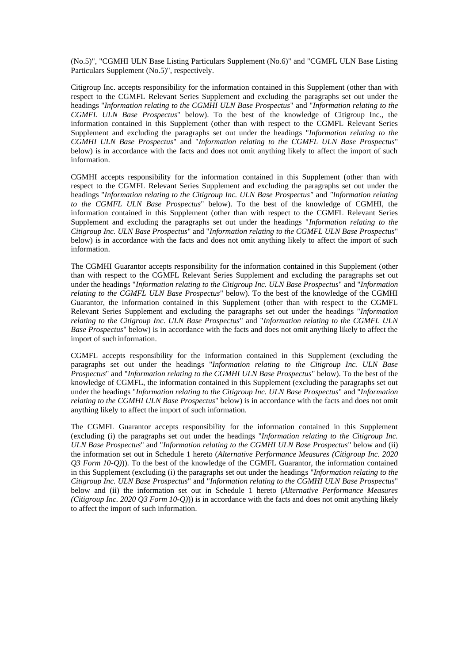(No.5)", "CGMHI ULN Base Listing Particulars Supplement (No.6)" and "CGMFL ULN Base Listing Particulars Supplement (No.5)", respectively.

Citigroup Inc. accepts responsibility for the information contained in this Supplement (other than with respect to the CGMFL Relevant Series Supplement and excluding the paragraphs set out under the headings "*Information relating to the CGMHI ULN Base Prospectus*" and "*Information relating to the CGMFL ULN Base Prospectus*" below). To the best of the knowledge of Citigroup Inc., the information contained in this Supplement (other than with respect to the CGMFL Relevant Series Supplement and excluding the paragraphs set out under the headings "*Information relating to the CGMHI ULN Base Prospectus*" and "*Information relating to the CGMFL ULN Base Prospectus*" below) is in accordance with the facts and does not omit anything likely to affect the import of such information.

CGMHI accepts responsibility for the information contained in this Supplement (other than with respect to the CGMFL Relevant Series Supplement and excluding the paragraphs set out under the headings "*Information relating to the Citigroup Inc. ULN Base Prospectus"* and *"Information relating to the CGMFL ULN Base Prospectus*" below). To the best of the knowledge of CGMHI, the information contained in this Supplement (other than with respect to the CGMFL Relevant Series Supplement and excluding the paragraphs set out under the headings "*Information relating to the Citigroup Inc. ULN Base Prospectus*" and "*Information relating to the CGMFL ULN Base Prospectus*" below) is in accordance with the facts and does not omit anything likely to affect the import of such information.

The CGMHI Guarantor accepts responsibility for the information contained in this Supplement (other than with respect to the CGMFL Relevant Series Supplement and excluding the paragraphs set out under the headings "*Information relating to the Citigroup Inc. ULN Base Prospectus*" and "*Information relating to the CGMFL ULN Base Prospectus*" below). To the best of the knowledge of the CGMHI Guarantor, the information contained in this Supplement (other than with respect to the CGMFL Relevant Series Supplement and excluding the paragraphs set out under the headings "*Information relating to the Citigroup Inc. ULN Base Prospectus*" and "*Information relating to the CGMFL ULN Base Prospectus*" below) is in accordance with the facts and does not omit anything likely to affect the import of such information.

CGMFL accepts responsibility for the information contained in this Supplement (excluding the paragraphs set out under the headings "*Information relating to the Citigroup Inc. ULN Base Prospectus*" and "*Information relating to the CGMHI ULN Base Prospectus*" below). To the best of the knowledge of CGMFL, the information contained in this Supplement (excluding the paragraphs set out under the headings "*Information relating to the Citigroup Inc. ULN Base Prospectus*" and "*Information relating to the CGMHI ULN Base Prospectus*" below) is in accordance with the facts and does not omit anything likely to affect the import of such information.

The CGMFL Guarantor accepts responsibility for the information contained in this Supplement (excluding (i) the paragraphs set out under the headings "*Information relating to the Citigroup Inc. ULN Base Prospectus*" and "*Information relating to the CGMHI ULN Base Prospectus*" below and (ii) the information set out in Schedule 1 hereto (*Alternative Performance Measures (Citigroup Inc. 2020 Q3 Form 10-Q)*)). To the best of the knowledge of the CGMFL Guarantor, the information contained in this Supplement (excluding (i) the paragraphs set out under the headings "*Information relating to the Citigroup Inc. ULN Base Prospectus*" and "*Information relating to the CGMHI ULN Base Prospectus*" below and (ii) the information set out in Schedule 1 hereto (*Alternative Performance Measures (Citigroup Inc. 2020 Q3 Form 10-Q)*)) is in accordance with the facts and does not omit anything likely to affect the import of such information.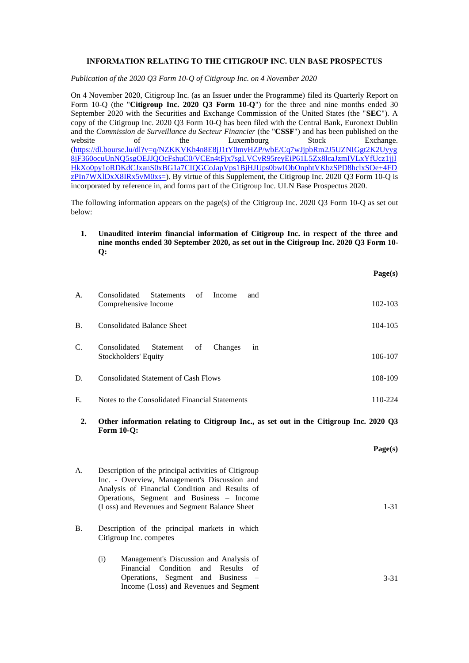# **INFORMATION RELATING TO THE CITIGROUP INC. ULN BASE PROSPECTUS**

*Publication of the 2020 Q3 Form 10-Q of Citigroup Inc. on 4 November 2020*

On 4 November 2020, Citigroup Inc. (as an Issuer under the Programme) filed its Quarterly Report on Form 10-Q (the "**Citigroup Inc. 2020 Q3 Form 10-Q**") for the three and nine months ended 30 September 2020 with the Securities and Exchange Commission of the United States (the "**SEC**"). A copy of the Citigroup Inc. 2020 Q3 Form 10-Q has been filed with the Central Bank, Euronext Dublin and the *Commission de Surveillance du Secteur Financier* (the "**CSSF**") and has been published on the website of the Luxembourg Stock Exchange. [\(https://dl.bourse.lu/dl?v=q/NZKKVKh4n8E8jJ1tY0mvHZP/wbE/Cq7wJjpbRm2J5UZNIGgt2K2Uyyg](https://dl.bourse.lu/dl?v=q/NZKKVKh4n8E8jJ1tY0mvHZP/wbE/Cq7wJjpbRm2J5UZNIGgt2K2Uyyg8jF360ocuUnNQ5sgOEJJQOcFshuC0/VCEn4tFjx7sgLVCvR95reyEiP61L5Zx8lcaJzmIVLxYfUcz1jjIHkXo0py1oRDKdCJxanS0xBG1a7CIQGCoJapVps1BjHJUps0bwIObOnphtVKbzSPD8hclxSOe+4FDzPIn7WXlDxX8IRx5vM0xs=) [8jF360ocuUnNQ5sgOEJJQOcFshuC0/VCEn4tFjx7sgLVCvR95reyEiP61L5Zx8lcaJzmIVLxYfUcz1jjI](https://dl.bourse.lu/dl?v=q/NZKKVKh4n8E8jJ1tY0mvHZP/wbE/Cq7wJjpbRm2J5UZNIGgt2K2Uyyg8jF360ocuUnNQ5sgOEJJQOcFshuC0/VCEn4tFjx7sgLVCvR95reyEiP61L5Zx8lcaJzmIVLxYfUcz1jjIHkXo0py1oRDKdCJxanS0xBG1a7CIQGCoJapVps1BjHJUps0bwIObOnphtVKbzSPD8hclxSOe+4FDzPIn7WXlDxX8IRx5vM0xs=) [HkXo0py1oRDKdCJxanS0xBG1a7CIQGCoJapVps1BjHJUps0bwIObOnphtVKbzSPD8hclxSOe+4FD](https://dl.bourse.lu/dl?v=q/NZKKVKh4n8E8jJ1tY0mvHZP/wbE/Cq7wJjpbRm2J5UZNIGgt2K2Uyyg8jF360ocuUnNQ5sgOEJJQOcFshuC0/VCEn4tFjx7sgLVCvR95reyEiP61L5Zx8lcaJzmIVLxYfUcz1jjIHkXo0py1oRDKdCJxanS0xBG1a7CIQGCoJapVps1BjHJUps0bwIObOnphtVKbzSPD8hclxSOe+4FDzPIn7WXlDxX8IRx5vM0xs=)  $zPIn7WXIDxX8IRx5vM0xs=$ ). By virtue of this Supplement, the Citigroup Inc. 2020 O3 Form 10-O is incorporated by reference in, and forms part of the Citigroup Inc. ULN Base Prospectus 2020.

The following information appears on the page(s) of the Citigroup Inc. 2020 Q3 Form 10-Q as set out below:

**1. Unaudited interim financial information of Citigroup Inc. in respect of the three and nine months ended 30 September 2020, as set out in the Citigroup Inc. 2020 Q3 Form 10- Q:**

|                 |                                                                           | Page(s)     |
|-----------------|---------------------------------------------------------------------------|-------------|
| A.              | Consolidated<br>Statements<br>of<br>Income<br>and<br>Comprehensive Income | $102 - 103$ |
| <b>B.</b>       | <b>Consolidated Balance Sheet</b>                                         | 104-105     |
| $\mathcal{C}$ . | in<br>Consolidated<br>Statement<br>of<br>Changes<br>Stockholders' Equity  | 106-107     |
| D.              | <b>Consolidated Statement of Cash Flows</b>                               | 108-109     |
| E.              | Notes to the Consolidated Financial Statements                            | 110-224     |
|                 | $\sim$ $\cdot$                                                            | $\cdots$    |

**2. Other information relating to Citigroup Inc., as set out in the Citigroup Inc. 2020 Q3 Form 10-Q:**

|    |                                                                                                      | Page(s)  |
|----|------------------------------------------------------------------------------------------------------|----------|
| А. | Description of the principal activities of Citigroup<br>Inc. - Overview, Management's Discussion and |          |
|    | Analysis of Financial Condition and Results of                                                       |          |
|    | Operations, Segment and Business – Income                                                            |          |
|    | (Loss) and Revenues and Segment Balance Sheet                                                        | $1 - 31$ |
| В. | Description of the principal markets in which<br>Citigroup Inc. competes                             |          |
|    | Management's Discussion and Analysis of<br>(i)                                                       |          |
|    | Financial Condition and Results of                                                                   |          |
|    | Operations, Segment and Business –                                                                   | $3 - 31$ |
|    | Income (Loss) and Revenues and Segment                                                               |          |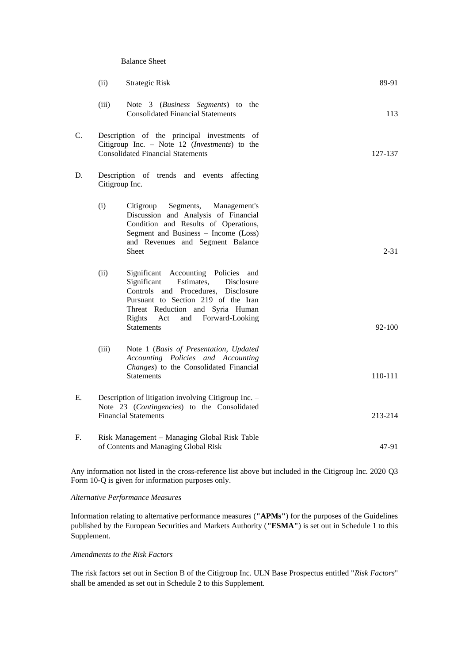#### Balance Sheet

|    | (ii)                                                                                                                                     | <b>Strategic Risk</b>                                                                                                                                                                                                                                            | 89-91    |
|----|------------------------------------------------------------------------------------------------------------------------------------------|------------------------------------------------------------------------------------------------------------------------------------------------------------------------------------------------------------------------------------------------------------------|----------|
|    | (iii)                                                                                                                                    | Note 3 (Business Segments) to the<br><b>Consolidated Financial Statements</b>                                                                                                                                                                                    | 113      |
| C. | Description of the principal investments of<br>Citigroup Inc. - Note 12 (Investments) to the<br><b>Consolidated Financial Statements</b> | 127-137                                                                                                                                                                                                                                                          |          |
| D. | Citigroup Inc.                                                                                                                           | Description of trends and events<br>affecting                                                                                                                                                                                                                    |          |
|    | (i)                                                                                                                                      | Citigroup<br>Segments,<br>Management's<br>Discussion and Analysis of Financial<br>Condition and Results of Operations,<br>Segment and Business - Income (Loss)<br>and Revenues and Segment Balance<br>Sheet                                                      | $2 - 31$ |
|    | (ii)                                                                                                                                     | Significant Accounting Policies<br>and<br>Significant<br>Estimates,<br>Disclosure<br>Controls and Procedures, Disclosure<br>Pursuant to Section 219 of the Iran<br>Threat Reduction and Syria Human<br>Rights<br>and Forward-Looking<br>Act<br><b>Statements</b> | 92-100   |
|    | (iii)                                                                                                                                    | Note 1 (Basis of Presentation, Updated<br>Accounting Policies and Accounting<br>Changes) to the Consolidated Financial<br><b>Statements</b>                                                                                                                      | 110-111  |
| Е. | Description of litigation involving Citigroup Inc. -<br>Note 23 (Contingencies) to the Consolidated<br><b>Financial Statements</b>       |                                                                                                                                                                                                                                                                  | 213-214  |
| F. |                                                                                                                                          | Risk Management - Managing Global Risk Table<br>of Contents and Managing Global Risk                                                                                                                                                                             | 47-91    |

Any information not listed in the cross-reference list above but included in the Citigroup Inc. 2020 Q3 Form 10-Q is given for information purposes only.

# *Alternative Performance Measures*

Information relating to alternative performance measures (**"APMs"**) for the purposes of the Guidelines published by the European Securities and Markets Authority (**"ESMA"**) is set out in Schedule 1 to this Supplement.

# *Amendments to the Risk Factors*

The risk factors set out in Section B of the Citigroup Inc. ULN Base Prospectus entitled "*Risk Factors*" shall be amended as set out in Schedule 2 to this Supplement.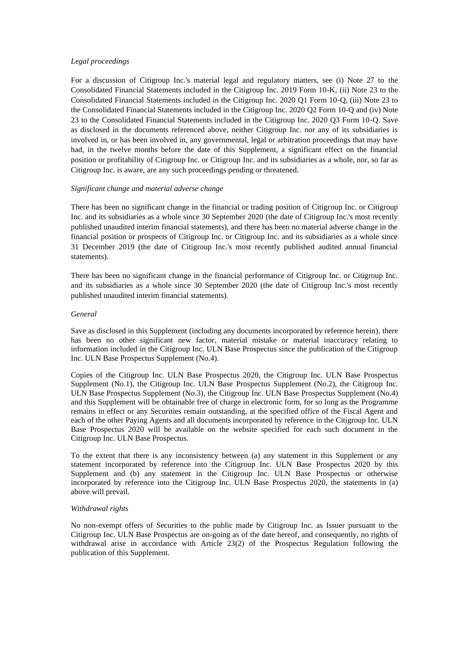# *Legal proceedings*

For a discussion of Citigroup Inc.'s material legal and regulatory matters, see (i) Note 27 to the Consolidated Financial Statements included in the Citigroup Inc. 2019 Form 10-K, (ii) Note 23 to the Consolidated Financial Statements included in the Citigroup Inc. 2020 Q1 Form 10-Q, (iii) Note 23 to the Consolidated Financial Statements included in the Citigroup Inc. 2020 Q2 Form 10-Q and (iv) Note 23 to the Consolidated Financial Statements included in the Citigroup Inc. 2020 Q3 Form 10-Q. Save as disclosed in the documents referenced above, neither Citigroup Inc. nor any of its subsidiaries is involved in, or has been involved in, any governmental, legal or arbitration proceedings that may have had, in the twelve months before the date of this Supplement, a significant effect on the financial position or profitability of Citigroup Inc. or Citigroup Inc. and its subsidiaries as a whole, nor, so far as Citigroup Inc. is aware, are any such proceedings pending or threatened.

## *Significant change and material adverse change*

There has been no significant change in the financial or trading position of Citigroup Inc. or Citigroup Inc. and its subsidiaries as a whole since 30 September 2020 (the date of Citigroup Inc.'s most recently published unaudited interim financial statements), and there has been no material adverse change in the financial position or prospects of Citigroup Inc. or Citigroup Inc. and its subsidiaries as a whole since 31 December 2019 (the date of Citigroup Inc.'s most recently published audited annual financial statements).

There has been no significant change in the financial performance of Citigroup Inc. or Citigroup Inc. and its subsidiaries as a whole since 30 September 2020 (the date of Citigroup Inc.'s most recently published unaudited interim financial statements).

### *General*

Save as disclosed in this Supplement (including any documents incorporated by reference herein), there has been no other significant new factor, material mistake or material inaccuracy relating to information included in the Citigroup Inc. ULN Base Prospectus since the publication of the Citigroup Inc. ULN Base Prospectus Supplement (No.4).

Copies of the Citigroup Inc. ULN Base Prospectus 2020, the Citigroup Inc. ULN Base Prospectus Supplement (No.1), the Citigroup Inc. ULN Base Prospectus Supplement (No.2), the Citigroup Inc. ULN Base Prospectus Supplement (No.3), the Citigroup Inc. ULN Base Prospectus Supplement (No.4) and this Supplement will be obtainable free of charge in electronic form, for so long as the Programme remains in effect or any Securities remain outstanding, at the specified office of the Fiscal Agent and each of the other Paying Agents and all documents incorporated by reference in the Citigroup Inc. ULN Base Prospectus 2020 will be available on the website specified for each such document in the Citigroup Inc. ULN Base Prospectus.

To the extent that there is any inconsistency between (a) any statement in this Supplement or any statement incorporated by reference into the Citigroup Inc. ULN Base Prospectus 2020 by this Supplement and (b) any statement in the Citigroup Inc. ULN Base Prospectus or otherwise incorporated by reference into the Citigroup Inc. ULN Base Prospectus 2020, the statements in (a) above will prevail.

# *Withdrawal rights*

No non-exempt offers of Securities to the public made by Citigroup Inc. as Issuer pursuant to the Citigroup Inc. ULN Base Prospectus are on-going as of the date hereof, and consequently, no rights of withdrawal arise in accordance with Article 23(2) of the Prospectus Regulation following the publication of this Supplement.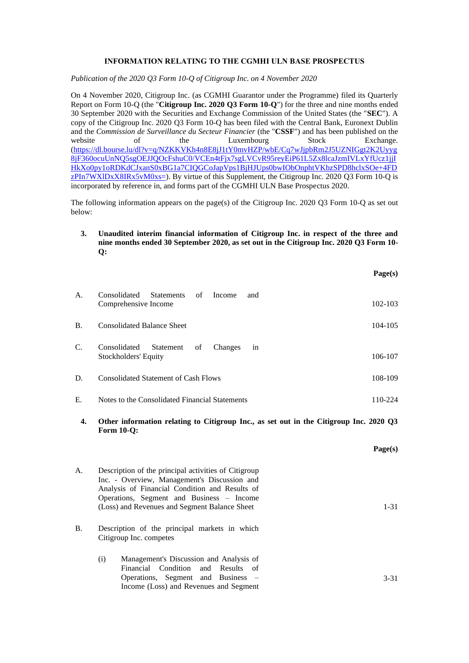# **INFORMATION RELATING TO THE CGMHI ULN BASE PROSPECTUS**

*Publication of the 2020 Q3 Form 10-Q of Citigroup Inc. on 4 November 2020*

On 4 November 2020, Citigroup Inc. (as CGMHI Guarantor under the Programme) filed its Quarterly Report on Form 10-Q (the "**Citigroup Inc. 2020 Q3 Form 10-Q**") for the three and nine months ended 30 September 2020 with the Securities and Exchange Commission of the United States (the "**SEC**"). A copy of the Citigroup Inc. 2020 Q3 Form 10-Q has been filed with the Central Bank, Euronext Dublin and the *Commission de Surveillance du Secteur Financier* (the "**CSSF**") and has been published on the website of the Luxembourg Stock Exchange. [\(https://dl.bourse.lu/dl?v=q/NZKKVKh4n8E8jJ1tY0mvHZP/wbE/Cq7wJjpbRm2J5UZNIGgt2K2Uyyg](https://dl.bourse.lu/dl?v=q/NZKKVKh4n8E8jJ1tY0mvHZP/wbE/Cq7wJjpbRm2J5UZNIGgt2K2Uyyg8jF360ocuUnNQ5sgOEJJQOcFshuC0/VCEn4tFjx7sgLVCvR95reyEiP61L5Zx8lcaJzmIVLxYfUcz1jjIHkXo0py1oRDKdCJxanS0xBG1a7CIQGCoJapVps1BjHJUps0bwIObOnphtVKbzSPD8hclxSOe+4FDzPIn7WXlDxX8IRx5vM0xs=) [8jF360ocuUnNQ5sgOEJJQOcFshuC0/VCEn4tFjx7sgLVCvR95reyEiP61L5Zx8lcaJzmIVLxYfUcz1jjI](https://dl.bourse.lu/dl?v=q/NZKKVKh4n8E8jJ1tY0mvHZP/wbE/Cq7wJjpbRm2J5UZNIGgt2K2Uyyg8jF360ocuUnNQ5sgOEJJQOcFshuC0/VCEn4tFjx7sgLVCvR95reyEiP61L5Zx8lcaJzmIVLxYfUcz1jjIHkXo0py1oRDKdCJxanS0xBG1a7CIQGCoJapVps1BjHJUps0bwIObOnphtVKbzSPD8hclxSOe+4FDzPIn7WXlDxX8IRx5vM0xs=) [HkXo0py1oRDKdCJxanS0xBG1a7CIQGCoJapVps1BjHJUps0bwIObOnphtVKbzSPD8hclxSOe+4FD](https://dl.bourse.lu/dl?v=q/NZKKVKh4n8E8jJ1tY0mvHZP/wbE/Cq7wJjpbRm2J5UZNIGgt2K2Uyyg8jF360ocuUnNQ5sgOEJJQOcFshuC0/VCEn4tFjx7sgLVCvR95reyEiP61L5Zx8lcaJzmIVLxYfUcz1jjIHkXo0py1oRDKdCJxanS0xBG1a7CIQGCoJapVps1BjHJUps0bwIObOnphtVKbzSPD8hclxSOe+4FDzPIn7WXlDxX8IRx5vM0xs=)  $zPIn7WXIDxX8IRx5vM0xs=$ ). By virtue of this Supplement, the Citigroup Inc. 2020 O3 Form 10-O is incorporated by reference in, and forms part of the CGMHI ULN Base Prospectus 2020.

The following information appears on the page(s) of the Citigroup Inc. 2020 Q3 Form 10-Q as set out below:

**3. Unaudited interim financial information of Citigroup Inc. in respect of the three and nine months ended 30 September 2020, as set out in the Citigroup Inc. 2020 Q3 Form 10- Q:**

|             |                                                                                                             | Page(s) |
|-------------|-------------------------------------------------------------------------------------------------------------|---------|
| A.          | Consolidated<br><b>Statements</b><br>of<br>Income<br>and<br>Comprehensive Income                            | 102-103 |
| <b>B.</b>   | <b>Consolidated Balance Sheet</b>                                                                           | 104-105 |
| $C_{\cdot}$ | Consolidated<br>Statement<br>Changes<br>of<br>in<br>Stockholders' Equity                                    | 106-107 |
| D.          | <b>Consolidated Statement of Cash Flows</b>                                                                 | 108-109 |
| E.          | Notes to the Consolidated Financial Statements                                                              | 110-224 |
| 4.          | Other information relating to Citigroup Inc., as set out in the Citigroup Inc. 2020 Q3<br><b>Form 10-Q:</b> |         |
|             |                                                                                                             | Page(s) |

- A. Description of the principal activities of Citigroup Inc. - Overview, Management's Discussion and Analysis of Financial Condition and Results of Operations, Segment and Business – Income (Loss) and Revenues and Segment Balance Sheet 1-31
- B. Description of the principal markets in which Citigroup Inc. competes
	- (i) Management's Discussion and Analysis of Financial Condition and Results of Operations, Segment and Business – Income (Loss) and Revenues and Segment 3-31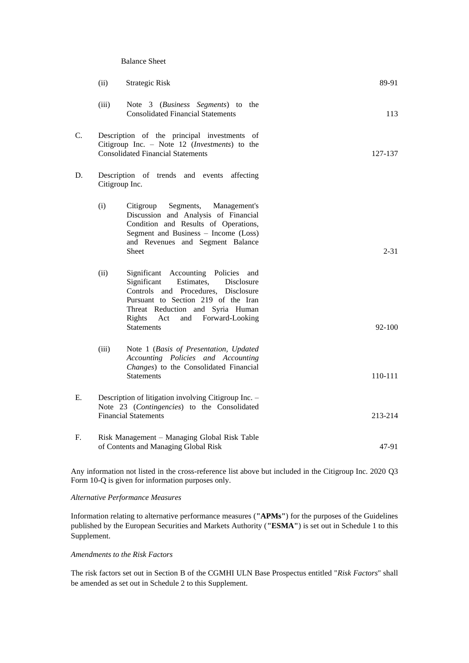#### Balance Sheet

|    | (ii)                                                                                                                                     | <b>Strategic Risk</b>                                                                                                                                                                                                                                            | 89-91    |
|----|------------------------------------------------------------------------------------------------------------------------------------------|------------------------------------------------------------------------------------------------------------------------------------------------------------------------------------------------------------------------------------------------------------------|----------|
|    | (iii)                                                                                                                                    | Note 3 (Business Segments) to the<br><b>Consolidated Financial Statements</b>                                                                                                                                                                                    | 113      |
| C. | Description of the principal investments of<br>Citigroup Inc. - Note 12 (Investments) to the<br><b>Consolidated Financial Statements</b> |                                                                                                                                                                                                                                                                  | 127-137  |
| D. | Citigroup Inc.                                                                                                                           | Description of trends and events<br>affecting                                                                                                                                                                                                                    |          |
|    | (i)                                                                                                                                      | Citigroup<br>Segments,<br>Management's<br>Discussion and Analysis of Financial<br>Condition and Results of Operations,<br>Segment and Business - Income (Loss)<br>and Revenues and Segment Balance<br>Sheet                                                      | $2 - 31$ |
|    | (ii)                                                                                                                                     | Significant Accounting Policies<br>and<br>Significant<br>Estimates,<br>Disclosure<br>Controls and Procedures, Disclosure<br>Pursuant to Section 219 of the Iran<br>Threat Reduction and Syria Human<br>Rights<br>and Forward-Looking<br>Act<br><b>Statements</b> | 92-100   |
|    | (iii)                                                                                                                                    | Note 1 (Basis of Presentation, Updated<br>Accounting Policies and Accounting<br>Changes) to the Consolidated Financial<br><b>Statements</b>                                                                                                                      | 110-111  |
| Е. | Description of litigation involving Citigroup Inc. -<br>Note 23 (Contingencies) to the Consolidated<br><b>Financial Statements</b>       |                                                                                                                                                                                                                                                                  | 213-214  |
| F. |                                                                                                                                          | Risk Management - Managing Global Risk Table<br>of Contents and Managing Global Risk                                                                                                                                                                             | 47-91    |

Any information not listed in the cross-reference list above but included in the Citigroup Inc. 2020 Q3 Form 10-Q is given for information purposes only.

# *Alternative Performance Measures*

Information relating to alternative performance measures (**"APMs"**) for the purposes of the Guidelines published by the European Securities and Markets Authority (**"ESMA"**) is set out in Schedule 1 to this Supplement.

# *Amendments to the Risk Factors*

The risk factors set out in Section B of the CGMHI ULN Base Prospectus entitled "*Risk Factors*" shall be amended as set out in Schedule 2 to this Supplement.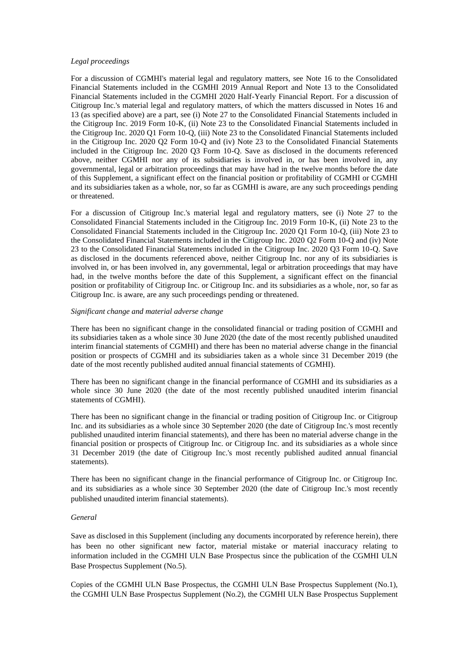### *Legal proceedings*

For a discussion of CGMHI's material legal and regulatory matters, see Note 16 to the Consolidated Financial Statements included in the CGMHI 2019 Annual Report and Note 13 to the Consolidated Financial Statements included in the CGMHI 2020 Half-Yearly Financial Report. For a discussion of Citigroup Inc.'s material legal and regulatory matters, of which the matters discussed in Notes 16 and 13 (as specified above) are a part, see (i) Note 27 to the Consolidated Financial Statements included in the Citigroup Inc. 2019 Form 10-K, (ii) Note 23 to the Consolidated Financial Statements included in the Citigroup Inc. 2020 Q1 Form 10-Q, (iii) Note 23 to the Consolidated Financial Statements included in the Citigroup Inc. 2020 Q2 Form 10-Q and (iv) Note 23 to the Consolidated Financial Statements included in the Citigroup Inc. 2020 Q3 Form 10-Q. Save as disclosed in the documents referenced above, neither CGMHI nor any of its subsidiaries is involved in, or has been involved in, any governmental, legal or arbitration proceedings that may have had in the twelve months before the date of this Supplement, a significant effect on the financial position or profitability of CGMHI or CGMHI and its subsidiaries taken as a whole, nor, so far as CGMHI is aware, are any such proceedings pending or threatened.

For a discussion of Citigroup Inc.'s material legal and regulatory matters, see (i) Note 27 to the Consolidated Financial Statements included in the Citigroup Inc. 2019 Form 10-K, (ii) Note 23 to the Consolidated Financial Statements included in the Citigroup Inc. 2020 Q1 Form 10-Q, (iii) Note 23 to the Consolidated Financial Statements included in the Citigroup Inc. 2020 Q2 Form 10-Q and (iv) Note 23 to the Consolidated Financial Statements included in the Citigroup Inc. 2020 Q3 Form 10-Q. Save as disclosed in the documents referenced above, neither Citigroup Inc. nor any of its subsidiaries is involved in, or has been involved in, any governmental, legal or arbitration proceedings that may have had, in the twelve months before the date of this Supplement, a significant effect on the financial position or profitability of Citigroup Inc. or Citigroup Inc. and its subsidiaries as a whole, nor, so far as Citigroup Inc. is aware, are any such proceedings pending or threatened.

### *Significant change and material adverse change*

There has been no significant change in the consolidated financial or trading position of CGMHI and its subsidiaries taken as a whole since 30 June 2020 (the date of the most recently published unaudited interim financial statements of CGMHI) and there has been no material adverse change in the financial position or prospects of CGMHI and its subsidiaries taken as a whole since 31 December 2019 (the date of the most recently published audited annual financial statements of CGMHI).

There has been no significant change in the financial performance of CGMHI and its subsidiaries as a whole since 30 June 2020 (the date of the most recently published unaudited interim financial statements of CGMHI).

There has been no significant change in the financial or trading position of Citigroup Inc. or Citigroup Inc. and its subsidiaries as a whole since 30 September 2020 (the date of Citigroup Inc.'s most recently published unaudited interim financial statements), and there has been no material adverse change in the financial position or prospects of Citigroup Inc. or Citigroup Inc. and its subsidiaries as a whole since 31 December 2019 (the date of Citigroup Inc.'s most recently published audited annual financial statements).

There has been no significant change in the financial performance of Citigroup Inc. or Citigroup Inc. and its subsidiaries as a whole since 30 September 2020 (the date of Citigroup Inc.'s most recently published unaudited interim financial statements).

### *General*

Save as disclosed in this Supplement (including any documents incorporated by reference herein), there has been no other significant new factor, material mistake or material inaccuracy relating to information included in the CGMHI ULN Base Prospectus since the publication of the CGMHI ULN Base Prospectus Supplement (No.5).

Copies of the CGMHI ULN Base Prospectus, the CGMHI ULN Base Prospectus Supplement (No.1), the CGMHI ULN Base Prospectus Supplement (No.2), the CGMHI ULN Base Prospectus Supplement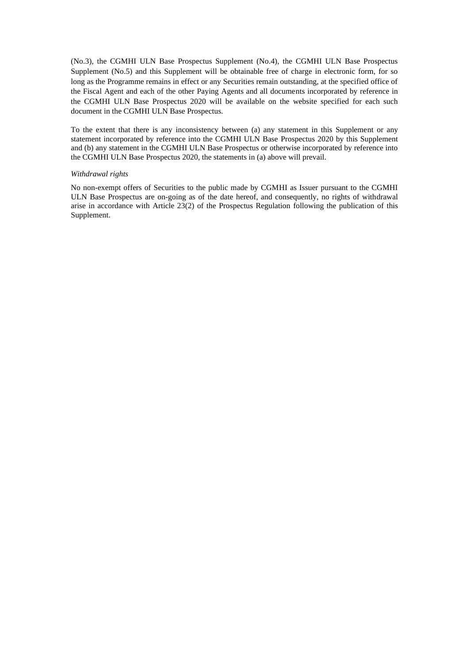(No.3), the CGMHI ULN Base Prospectus Supplement (No.4), the CGMHI ULN Base Prospectus Supplement (No.5) and this Supplement will be obtainable free of charge in electronic form, for so long as the Programme remains in effect or any Securities remain outstanding, at the specified office of the Fiscal Agent and each of the other Paying Agents and all documents incorporated by reference in the CGMHI ULN Base Prospectus 2020 will be available on the website specified for each such document in the CGMHI ULN Base Prospectus.

To the extent that there is any inconsistency between (a) any statement in this Supplement or any statement incorporated by reference into the CGMHI ULN Base Prospectus 2020 by this Supplement and (b) any statement in the CGMHI ULN Base Prospectus or otherwise incorporated by reference into the CGMHI ULN Base Prospectus 2020, the statements in (a) above will prevail.

### *Withdrawal rights*

No non-exempt offers of Securities to the public made by CGMHI as Issuer pursuant to the CGMHI ULN Base Prospectus are on-going as of the date hereof, and consequently, no rights of withdrawal arise in accordance with Article 23(2) of the Prospectus Regulation following the publication of this Supplement.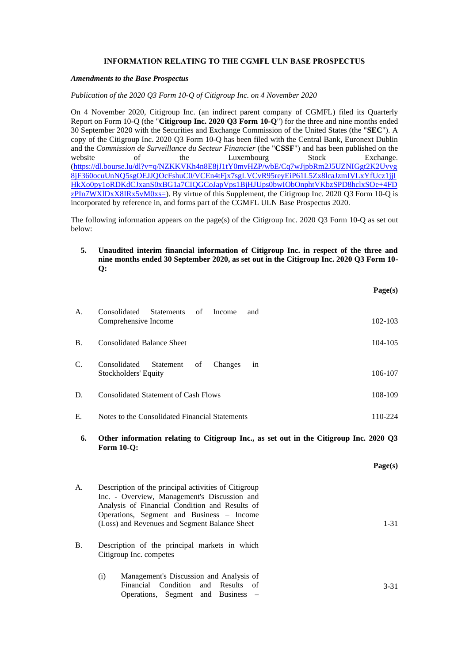# **INFORMATION RELATING TO THE CGMFL ULN BASE PROSPECTUS**

# *Amendments to the Base Prospectus*

*Publication of the 2020 Q3 Form 10-Q of Citigroup Inc. on 4 November 2020*

On 4 November 2020, Citigroup Inc. (an indirect parent company of CGMFL) filed its Quarterly Report on Form 10-Q (the "**Citigroup Inc. 2020 Q3 Form 10-Q**") for the three and nine months ended 30 September 2020 with the Securities and Exchange Commission of the United States (the "**SEC**"). A copy of the Citigroup Inc. 2020 Q3 Form 10-Q has been filed with the Central Bank, Euronext Dublin and the *Commission de Surveillance du Secteur Financier* (the "**CSSF**") and has been published on the website of the Luxembourg Stock Exchange. [\(https://dl.bourse.lu/dl?v=q/NZKKVKh4n8E8jJ1tY0mvHZP/wbE/Cq7wJjpbRm2J5UZNIGgt2K2Uyyg](https://dl.bourse.lu/dl?v=q/NZKKVKh4n8E8jJ1tY0mvHZP/wbE/Cq7wJjpbRm2J5UZNIGgt2K2Uyyg8jF360ocuUnNQ5sgOEJJQOcFshuC0/VCEn4tFjx7sgLVCvR95reyEiP61L5Zx8lcaJzmIVLxYfUcz1jjIHkXo0py1oRDKdCJxanS0xBG1a7CIQGCoJapVps1BjHJUps0bwIObOnphtVKbzSPD8hclxSOe+4FDzPIn7WXlDxX8IRx5vM0xs=) [8jF360ocuUnNQ5sgOEJJQOcFshuC0/VCEn4tFjx7sgLVCvR95reyEiP61L5Zx8lcaJzmIVLxYfUcz1jjI](https://dl.bourse.lu/dl?v=q/NZKKVKh4n8E8jJ1tY0mvHZP/wbE/Cq7wJjpbRm2J5UZNIGgt2K2Uyyg8jF360ocuUnNQ5sgOEJJQOcFshuC0/VCEn4tFjx7sgLVCvR95reyEiP61L5Zx8lcaJzmIVLxYfUcz1jjIHkXo0py1oRDKdCJxanS0xBG1a7CIQGCoJapVps1BjHJUps0bwIObOnphtVKbzSPD8hclxSOe+4FDzPIn7WXlDxX8IRx5vM0xs=) [HkXo0py1oRDKdCJxanS0xBG1a7CIQGCoJapVps1BjHJUps0bwIObOnphtVKbzSPD8hclxSOe+4FD](https://dl.bourse.lu/dl?v=q/NZKKVKh4n8E8jJ1tY0mvHZP/wbE/Cq7wJjpbRm2J5UZNIGgt2K2Uyyg8jF360ocuUnNQ5sgOEJJQOcFshuC0/VCEn4tFjx7sgLVCvR95reyEiP61L5Zx8lcaJzmIVLxYfUcz1jjIHkXo0py1oRDKdCJxanS0xBG1a7CIQGCoJapVps1BjHJUps0bwIObOnphtVKbzSPD8hclxSOe+4FDzPIn7WXlDxX8IRx5vM0xs=) zPIn7WXIDxX8IRx5vM0xs=). By virtue of this Supplement, the Citigroup Inc. 2020 Q3 Form 10-Q is incorporated by reference in, and forms part of the CGMFL ULN Base Prospectus 2020.

The following information appears on the page(s) of the Citigroup Inc. 2020 Q3 Form 10-Q as set out below:

**5. Unaudited interim financial information of Citigroup Inc. in respect of the three and nine months ended 30 September 2020, as set out in the Citigroup Inc. 2020 Q3 Form 10- Q:**

|           |                                                                                                                                                                                                                                                      | Page(s)  |
|-----------|------------------------------------------------------------------------------------------------------------------------------------------------------------------------------------------------------------------------------------------------------|----------|
| A.        | Consolidated<br><b>Statements</b><br>of<br>Income<br>and<br>Comprehensive Income                                                                                                                                                                     | 102-103  |
| <b>B.</b> | <b>Consolidated Balance Sheet</b>                                                                                                                                                                                                                    | 104-105  |
| C.        | Consolidated<br>Statement<br>of<br>Changes<br>in<br>Stockholders' Equity                                                                                                                                                                             | 106-107  |
| D.        | <b>Consolidated Statement of Cash Flows</b>                                                                                                                                                                                                          | 108-109  |
| Ε.        | Notes to the Consolidated Financial Statements                                                                                                                                                                                                       | 110-224  |
| 6.        | Other information relating to Citigroup Inc., as set out in the Citigroup Inc. 2020 Q3<br><b>Form 10-Q:</b>                                                                                                                                          |          |
|           |                                                                                                                                                                                                                                                      | Page(s)  |
| A.        | Description of the principal activities of Citigroup<br>Inc. - Overview, Management's Discussion and<br>Analysis of Financial Condition and Results of<br>Operations, Segment and Business - Income<br>(Loss) and Revenues and Segment Balance Sheet | $1 - 31$ |
| <b>B.</b> | Description of the principal markets in which<br>Citigroup Inc. competes                                                                                                                                                                             |          |
|           | Management's Discussion and Analysis of<br>(i)<br>Condition<br>Financial<br>and<br>Results<br>of                                                                                                                                                     | $3 - 31$ |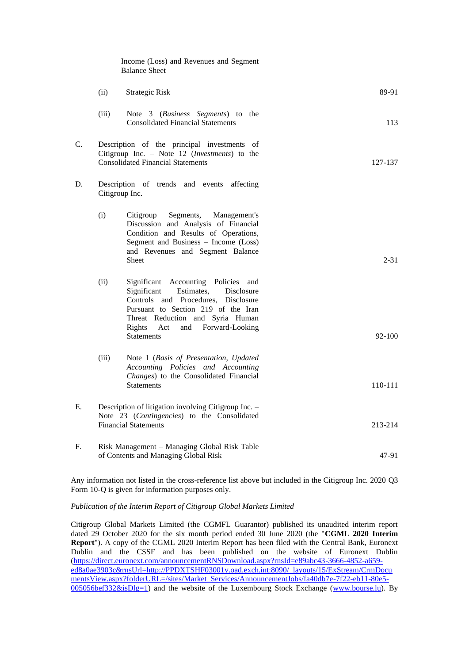|    |                                                                                      | Income (Loss) and Revenues and Segment<br><b>Balance Sheet</b>                                                                                                                                                                                                            |          |
|----|--------------------------------------------------------------------------------------|---------------------------------------------------------------------------------------------------------------------------------------------------------------------------------------------------------------------------------------------------------------------------|----------|
|    | (ii)                                                                                 | <b>Strategic Risk</b>                                                                                                                                                                                                                                                     | 89-91    |
|    | (iii)                                                                                | Note 3 (Business Segments) to the<br><b>Consolidated Financial Statements</b>                                                                                                                                                                                             | 113      |
| C. |                                                                                      | Description of the principal investments of<br>Citigroup Inc. - Note 12 ( <i>Investments</i> ) to the<br><b>Consolidated Financial Statements</b>                                                                                                                         | 127-137  |
| D. |                                                                                      | Description of trends and events affecting<br>Citigroup Inc.                                                                                                                                                                                                              |          |
|    | (i)                                                                                  | Segments,<br>Management's<br>Citigroup<br>Discussion and Analysis of Financial<br>Condition and Results of Operations,<br>Segment and Business - Income (Loss)<br>and Revenues and Segment Balance<br><b>Sheet</b>                                                        | $2 - 31$ |
|    | (ii)                                                                                 | Accounting<br>Significant<br>Policies and<br>Significant<br>Estimates,<br>Disclosure<br>Controls and Procedures,<br>Disclosure<br>Pursuant to Section 219 of the Iran<br>Threat Reduction and Syria Human<br>Rights<br>and<br>Forward-Looking<br>Act<br><b>Statements</b> | 92-100   |
|    | (iii)                                                                                | Note 1 (Basis of Presentation, Updated<br>Accounting Policies and Accounting<br>Changes) to the Consolidated Financial<br><b>Statements</b>                                                                                                                               | 110-111  |
| E. |                                                                                      | Description of litigation involving Citigroup Inc. -<br>Note 23 (Contingencies) to the Consolidated<br><b>Financial Statements</b>                                                                                                                                        | 213-214  |
| F. | Risk Management - Managing Global Risk Table<br>of Contents and Managing Global Risk |                                                                                                                                                                                                                                                                           | 47-91    |

Any information not listed in the cross-reference list above but included in the Citigroup Inc. 2020 Q3 Form 10-Q is given for information purposes only.

*Publication of the Interim Report of Citigroup Global Markets Limited*

Citigroup Global Markets Limited (the CGMFL Guarantor) published its unaudited interim report dated 29 October 2020 for the six month period ended 30 June 2020 (the "**CGML 2020 Interim Report**"). A copy of the CGML 2020 Interim Report has been filed with the Central Bank, Euronext Dublin and the CSSF and has been published on the website of Euronext Dublin [\(https://direct.euronext.com/announcementRNSDownload.aspx?rnsId=e89abc43-3666-4852-a659](https://direct.euronext.com/announcementRNSDownload.aspx?rnsId=e89abc43-3666-4852-a659-ed8a0ae3903c&rnsUrl=http://PPDXTSHF03001v.oad.exch.int:8090/_layouts/15/ExStream/CrmDocumentsView.aspx?folderURL=/sites/Market_Services/AnnouncementJobs/fa40db7e-7f22-eb11-80e5-005056bef332&isDlg=1) [ed8a0ae3903c&rnsUrl=http://PPDXTSHF03001v.oad.exch.int:8090/\\_layouts/15/ExStream/CrmDocu](https://direct.euronext.com/announcementRNSDownload.aspx?rnsId=e89abc43-3666-4852-a659-ed8a0ae3903c&rnsUrl=http://PPDXTSHF03001v.oad.exch.int:8090/_layouts/15/ExStream/CrmDocumentsView.aspx?folderURL=/sites/Market_Services/AnnouncementJobs/fa40db7e-7f22-eb11-80e5-005056bef332&isDlg=1) [mentsView.aspx?folderURL=/sites/Market\\_Services/AnnouncementJobs/fa40db7e-7f22-eb11-80e5-](https://direct.euronext.com/announcementRNSDownload.aspx?rnsId=e89abc43-3666-4852-a659-ed8a0ae3903c&rnsUrl=http://PPDXTSHF03001v.oad.exch.int:8090/_layouts/15/ExStream/CrmDocumentsView.aspx?folderURL=/sites/Market_Services/AnnouncementJobs/fa40db7e-7f22-eb11-80e5-005056bef332&isDlg=1)  $005056$ bef332 $\&$ isDlg=1) and the website of the Luxembourg Stock Exchange [\(www.bourse.lu\)](http://www.bourse.lu/). By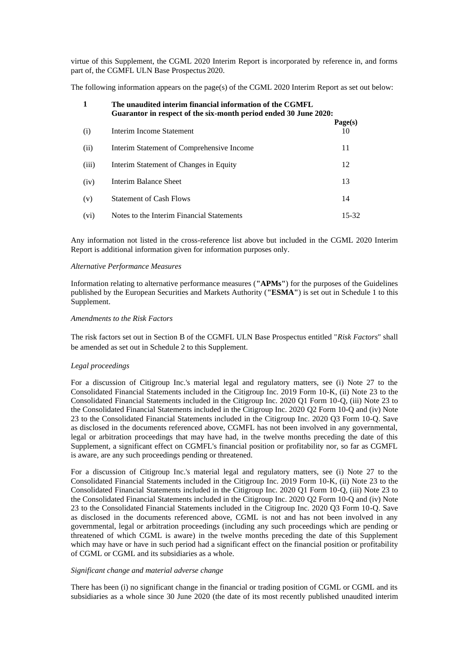virtue of this Supplement, the CGML 2020 Interim Report is incorporated by reference in, and forms part of, the CGMFL ULN Base Prospectus 2020.

The following information appears on the page(s) of the CGML 2020 Interim Report as set out below:

| $\mathbf{1}$ | The unaudited interim financial information of the CGMFL<br>Guarantor in respect of the six-month period ended 30 June 2020: |               |  |
|--------------|------------------------------------------------------------------------------------------------------------------------------|---------------|--|
| (i)          | Interim Income Statement                                                                                                     | Page(s)<br>10 |  |
| (ii)         | Interim Statement of Comprehensive Income                                                                                    | 11            |  |
| (iii)        | Interim Statement of Changes in Equity                                                                                       | 12            |  |
| (iv)         | Interim Balance Sheet                                                                                                        | 13            |  |
| (v)          | <b>Statement of Cash Flows</b>                                                                                               | 14            |  |
| (vi)         | Notes to the Interim Financial Statements                                                                                    | 15-32         |  |

Any information not listed in the cross-reference list above but included in the CGML 2020 Interim Report is additional information given for information purposes only.

#### *Alternative Performance Measures*

Information relating to alternative performance measures (**"APMs"**) for the purposes of the Guidelines published by the European Securities and Markets Authority (**"ESMA"**) is set out in Schedule 1 to this Supplement.

# *Amendments to the Risk Factors*

The risk factors set out in Section B of the CGMFL ULN Base Prospectus entitled "*Risk Factors*" shall be amended as set out in Schedule 2 to this Supplement.

## *Legal proceedings*

For a discussion of Citigroup Inc.'s material legal and regulatory matters, see (i) Note 27 to the Consolidated Financial Statements included in the Citigroup Inc. 2019 Form 10-K, (ii) Note 23 to the Consolidated Financial Statements included in the Citigroup Inc. 2020 Q1 Form 10-Q, (iii) Note 23 to the Consolidated Financial Statements included in the Citigroup Inc. 2020 Q2 Form 10-Q and (iv) Note 23 to the Consolidated Financial Statements included in the Citigroup Inc. 2020 Q3 Form 10-Q. Save as disclosed in the documents referenced above, CGMFL has not been involved in any governmental, legal or arbitration proceedings that may have had, in the twelve months preceding the date of this Supplement, a significant effect on CGMFL's financial position or profitability nor, so far as CGMFL is aware, are any such proceedings pending or threatened.

For a discussion of Citigroup Inc.'s material legal and regulatory matters, see (i) Note 27 to the Consolidated Financial Statements included in the Citigroup Inc. 2019 Form 10-K, (ii) Note 23 to the Consolidated Financial Statements included in the Citigroup Inc. 2020 Q1 Form 10-Q, (iii) Note 23 to the Consolidated Financial Statements included in the Citigroup Inc. 2020 Q2 Form 10-Q and (iv) Note 23 to the Consolidated Financial Statements included in the Citigroup Inc. 2020 Q3 Form 10-Q. Save as disclosed in the documents referenced above, CGML is not and has not been involved in any governmental, legal or arbitration proceedings (including any such proceedings which are pending or threatened of which CGML is aware) in the twelve months preceding the date of this Supplement which may have or have in such period had a significant effect on the financial position or profitability of CGML or CGML and its subsidiaries as a whole.

#### *Significant change and material adverse change*

There has been (i) no significant change in the financial or trading position of CGML or CGML and its subsidiaries as a whole since 30 June 2020 (the date of its most recently published unaudited interim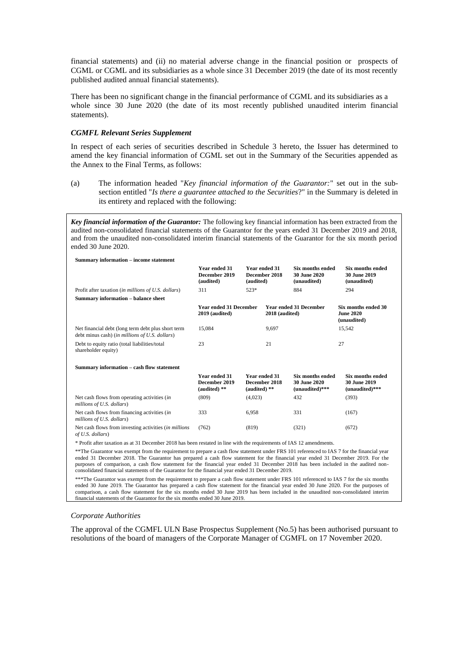financial statements) and (ii) no material adverse change in the financial position or prospects of CGML or CGML and its subsidiaries as a whole since 31 December 2019 (the date of its most recently published audited annual financial statements).

There has been no significant change in the financial performance of CGML and its subsidiaries as a whole since 30 June 2020 (the date of its most recently published unaudited interim financial statements).

## *CGMFL Relevant Series Supplement*

**Summary information – income statement**

In respect of each series of securities described in Schedule 3 hereto, the Issuer has determined to amend the key financial information of CGML set out in the Summary of the Securities appended as the Annex to the Final Terms, as follows:

(a) The information headed "*Key financial information of the Guarantor:*" set out in the subsection entitled "*Is there a guarantee attached to the Securities*?" in the Summary is deleted in its entirety and replaced with the following:

*Key financial information of the Guarantor:* The following key financial information has been extracted from the audited non-consolidated financial statements of the Guarantor for the years ended 31 December 2019 and 2018, and from the unaudited non-consolidated interim financial statements of the Guarantor for the six month period ended 30 June 2020.

| эшинагу ниогнаатон – пісопіс зааснісні                                                               |                                                   |                                                  |                                                             |                                                             |
|------------------------------------------------------------------------------------------------------|---------------------------------------------------|--------------------------------------------------|-------------------------------------------------------------|-------------------------------------------------------------|
|                                                                                                      | Year ended 31<br>December 2019<br>(audited)       | Year ended 31<br>December 2018<br>(audited)      | Six months ended<br>30 June 2020<br>(unaudited)             | Six months ended<br><b>30 June 2019</b><br>(unaudited)      |
| Profit after taxation (in millions of U.S. dollars)                                                  | 311                                               | 523*                                             | 884                                                         | 294                                                         |
| Summary information - balance sheet                                                                  |                                                   |                                                  |                                                             |                                                             |
|                                                                                                      | <b>Year ended 31 December</b><br>$2019$ (audited) |                                                  | <b>Year ended 31 December</b><br>2018 (audited)             | Six months ended 30<br><b>June 2020</b><br>(unaudited)      |
| Net financial debt (long term debt plus short term<br>debt minus cash) (in millions of U.S. dollars) | 15.084                                            | 9,697                                            |                                                             | 15.542                                                      |
| Debt to equity ratio (total liabilities/total<br>shareholder equity)                                 | 23                                                | 21                                               |                                                             | 27                                                          |
| Summary information - cash flow statement                                                            |                                                   |                                                  |                                                             |                                                             |
|                                                                                                      | Year ended 31<br>December 2019<br>(audited) $**$  | Year ended 31<br>December 2018<br>(audited) $**$ | <b>Six months ended</b><br>30 June 2020<br>$(unaudited)***$ | Six months ended<br><b>30 June 2019</b><br>$(unaudited)***$ |
| Net cash flows from operating activities (in<br>millions of U.S. dollars)                            | (809)                                             | (4,023)                                          | 432                                                         | (393)                                                       |
| Net cash flows from financing activities (in<br>millions of U.S. dollars)                            | 333                                               | 6.958                                            | 331                                                         | (167)                                                       |
| Net cash flows from investing activities <i>(in millions</i> )<br>of U.S. dollars)                   | (762)                                             | (819)                                            | (321)                                                       | (672)                                                       |

\* Profit after taxation as at 31 December 2018 has been restated in line with the requirements of IAS 12 amendments.

\*\*The Guarantor was exempt from the requirement to prepare a cash flow statement under FRS 101 referenced to IAS 7 for the financial year ended 31 December 2018. The Guarantor has prepared a cash flow statement for the financial year ended 31 December 2019. For the purposes of comparison, a cash flow statement for the financial year ended 31 December 2018 has been included in the audited nonconsolidated financial statements of the Guarantor for the financial year ended 31 December 2019.

\*\*\*The Guarantor was exempt from the requirement to prepare a cash flow statement under FRS 101 referenced to IAS 7 for the six months ended 30 June 2019. The Guarantor has prepared a cash flow statement for the financial year ended 30 June 2020. For the purposes of comparison, a cash flow statement for the six months ended 30 June 2019 has been included in the unaudited non-consolidated interim financial statements of the Guarantor for the six months ended 30 June 2019.

#### *Corporate Authorities*

The approval of the CGMFL ULN Base Prospectus Supplement (No.5) has been authorised pursuant to resolutions of the board of managers of the Corporate Manager of CGMFL on 17 November 2020.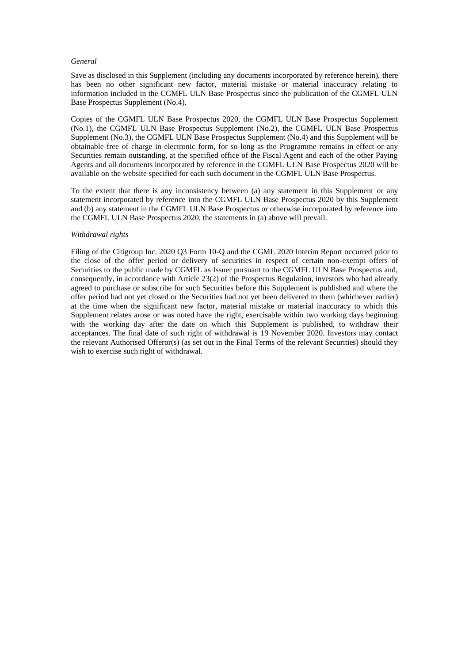### *General*

Save as disclosed in this Supplement (including any documents incorporated by reference herein), there has been no other significant new factor, material mistake or material inaccuracy relating to information included in the CGMFL ULN Base Prospectus since the publication of the CGMFL ULN Base Prospectus Supplement (No.4).

Copies of the CGMFL ULN Base Prospectus 2020, the CGMFL ULN Base Prospectus Supplement (No.1), the CGMFL ULN Base Prospectus Supplement (No.2), the CGMFL ULN Base Prospectus Supplement (No.3), the CGMFL ULN Base Prospectus Supplement (No.4) and this Supplement will be obtainable free of charge in electronic form, for so long as the Programme remains in effect or any Securities remain outstanding, at the specified office of the Fiscal Agent and each of the other Paying Agents and all documents incorporated by reference in the CGMFL ULN Base Prospectus 2020 will be available on the website specified for each such document in the CGMFL ULN Base Prospectus.

To the extent that there is any inconsistency between (a) any statement in this Supplement or any statement incorporated by reference into the CGMFL ULN Base Prospectus 2020 by this Supplement and (b) any statement in the CGMFL ULN Base Prospectus or otherwise incorporated by reference into the CGMFL ULN Base Prospectus 2020, the statements in (a) above will prevail.

### *Withdrawal rights*

Filing of the Citigroup Inc. 2020 Q3 Form 10-Q and the CGML 2020 Interim Report occurred prior to the close of the offer period or delivery of securities in respect of certain non-exempt offers of Securities to the public made by CGMFL as Issuer pursuant to the CGMFL ULN Base Prospectus and, consequently, in accordance with Article 23(2) of the Prospectus Regulation, investors who had already agreed to purchase or subscribe for such Securities before this Supplement is published and where the offer period had not yet closed or the Securities had not yet been delivered to them (whichever earlier) at the time when the significant new factor, material mistake or material inaccuracy to which this Supplement relates arose or was noted have the right, exercisable within two working days beginning with the working day after the date on which this Supplement is published, to withdraw their acceptances. The final date of such right of withdrawal is 19 November 2020. Investors may contact the relevant Authorised Offeror(s) (as set out in the Final Terms of the relevant Securities) should they wish to exercise such right of withdrawal.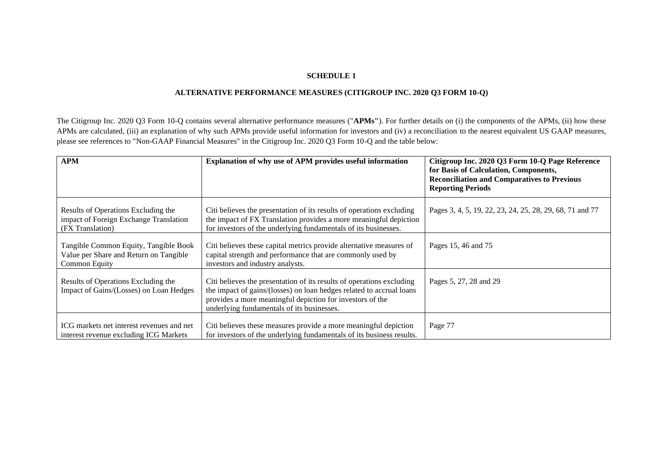# **SCHEDULE 1**

# **ALTERNATIVE PERFORMANCE MEASURES (CITIGROUP INC. 2020 Q3 FORM 10-Q)**

The Citigroup Inc. 2020 Q3 Form 10-Q contains several alternative performance measures ("**APMs"**). For further details on (i) the components of the APMs, (ii) how these APMs are calculated, (iii) an explanation of why such APMs provide useful information for investors and (iv) a reconciliation to the nearest equivalent US GAAP measures, please see references to "Non-GAAP Financial Measures" in the Citigroup Inc. 2020 Q3 Form 10-Q and the table below:

| <b>APM</b>                                                                                        | Explanation of why use of APM provides useful information                                                                                                                                                                                                | Citigroup Inc. 2020 Q3 Form 10-Q Page Reference<br>for Basis of Calculation, Components,<br><b>Reconciliation and Comparatives to Previous</b><br><b>Reporting Periods</b> |
|---------------------------------------------------------------------------------------------------|----------------------------------------------------------------------------------------------------------------------------------------------------------------------------------------------------------------------------------------------------------|----------------------------------------------------------------------------------------------------------------------------------------------------------------------------|
| Results of Operations Excluding the<br>impact of Foreign Exchange Translation<br>(FX Translation) | Citi believes the presentation of its results of operations excluding<br>the impact of FX Translation provides a more meaningful depiction<br>for investors of the underlying fundamentals of its businesses.                                            | Pages 3, 4, 5, 19, 22, 23, 24, 25, 28, 29, 68, 71 and 77                                                                                                                   |
| Tangible Common Equity, Tangible Book<br>Value per Share and Return on Tangible<br>Common Equity  | Citi believes these capital metrics provide alternative measures of<br>capital strength and performance that are commonly used by<br>investors and industry analysts.                                                                                    | Pages 15, 46 and 75                                                                                                                                                        |
| Results of Operations Excluding the<br>Impact of Gains/(Losses) on Loan Hedges                    | Citi believes the presentation of its results of operations excluding<br>the impact of gains/(losses) on loan hedges related to accrual loans<br>provides a more meaningful depiction for investors of the<br>underlying fundamentals of its businesses. | Pages 5, 27, 28 and 29                                                                                                                                                     |
| ICG markets net interest revenues and net<br>interest revenue excluding ICG Markets               | Citi believes these measures provide a more meaningful depiction<br>for investors of the underlying fundamentals of its business results.                                                                                                                | Page 77                                                                                                                                                                    |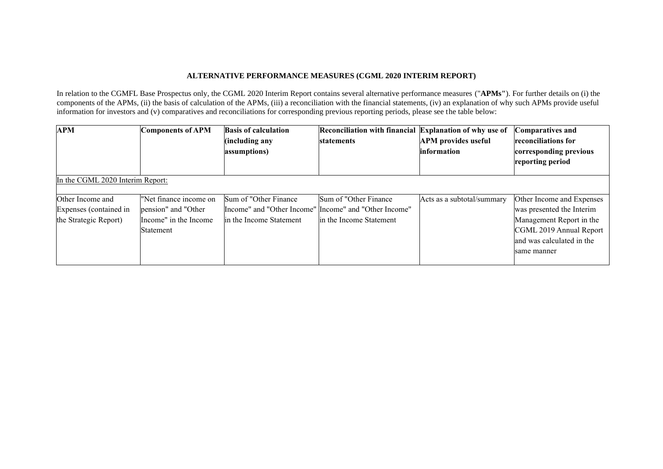# **ALTERNATIVE PERFORMANCE MEASURES (CGML 2020 INTERIM REPORT)**

In relation to the CGMFL Base Prospectus only, the CGML 2020 Interim Report contains several alternative performance measures ("**APMs"**). For further details on (i) the components of the APMs, (ii) the basis of calculation of the APMs, (iii) a reconciliation with the financial statements, (iv) an explanation of why such APMs provide useful information for investors and (v) comparatives and reconciliations for corresponding previous reporting periods, please see the table below:

| <b>APM</b>                                                          | <b>Components of APM</b>                                                            | <b>Basis of calculation</b><br>(including any<br>assumptions)                                               | Reconciliation with financial Explanation of why use of<br>statements | <b>APM</b> provides useful<br><i>linformation</i> | <b>Comparatives and</b><br><b>reconciliations for</b><br>corresponding previous<br>reporting period                                                       |
|---------------------------------------------------------------------|-------------------------------------------------------------------------------------|-------------------------------------------------------------------------------------------------------------|-----------------------------------------------------------------------|---------------------------------------------------|-----------------------------------------------------------------------------------------------------------------------------------------------------------|
| In the CGML 2020 Interim Report:                                    |                                                                                     |                                                                                                             |                                                                       |                                                   |                                                                                                                                                           |
| Other Income and<br>Expenses (contained in<br>the Strategic Report) | "Net finance income on<br>pension" and "Other<br>Income" in the Income<br>Statement | Sum of "Other Finance"<br>Income" and "Other Income" Income" and "Other Income"<br>lin the Income Statement | Sum of "Other Finance"<br>lin the Income Statement                    | Acts as a subtotal/summary                        | Other Income and Expenses<br>was presented the Interim<br>Management Report in the<br>CGML 2019 Annual Report<br>and was calculated in the<br>same manner |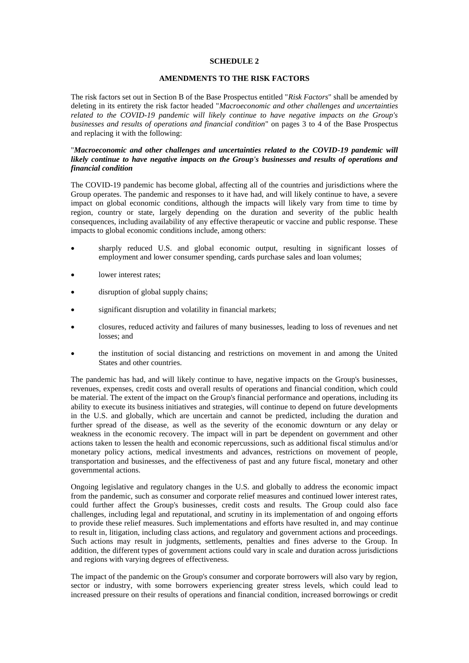## **SCHEDULE 2**

# **AMENDMENTS TO THE RISK FACTORS**

The risk factors set out in Section B of the Base Prospectus entitled "*Risk Factors*" shall be amended by deleting in its entirety the risk factor headed "*Macroeconomic and other challenges and uncertainties related to the COVID-19 pandemic will likely continue to have negative impacts on the Group's businesses and results of operations and financial condition*" on pages 3 to 4 of the Base Prospectus and replacing it with the following:

## "*Macroeconomic and other challenges and uncertainties related to the COVID-19 pandemic will likely continue to have negative impacts on the Group's businesses and results of operations and financial condition*

The COVID-19 pandemic has become global, affecting all of the countries and jurisdictions where the Group operates. The pandemic and responses to it have had, and will likely continue to have, a severe impact on global economic conditions, although the impacts will likely vary from time to time by region, country or state, largely depending on the duration and severity of the public health consequences, including availability of any effective therapeutic or vaccine and public response. These impacts to global economic conditions include, among others:

- sharply reduced U.S. and global economic output, resulting in significant losses of employment and lower consumer spending, cards purchase sales and loan volumes;
- lower interest rates;
- disruption of global supply chains;
- significant disruption and volatility in financial markets;
- closures, reduced activity and failures of many businesses, leading to loss of revenues and net losses; and
- the institution of social distancing and restrictions on movement in and among the United States and other countries.

The pandemic has had, and will likely continue to have, negative impacts on the Group's businesses, revenues, expenses, credit costs and overall results of operations and financial condition, which could be material. The extent of the impact on the Group's financial performance and operations, including its ability to execute its business initiatives and strategies, will continue to depend on future developments in the U.S. and globally, which are uncertain and cannot be predicted, including the duration and further spread of the disease, as well as the severity of the economic downturn or any delay or weakness in the economic recovery. The impact will in part be dependent on government and other actions taken to lessen the health and economic repercussions, such as additional fiscal stimulus and/or monetary policy actions, medical investments and advances, restrictions on movement of people, transportation and businesses, and the effectiveness of past and any future fiscal, monetary and other governmental actions.

Ongoing legislative and regulatory changes in the U.S. and globally to address the economic impact from the pandemic, such as consumer and corporate relief measures and continued lower interest rates, could further affect the Group's businesses, credit costs and results. The Group could also face challenges, including legal and reputational, and scrutiny in its implementation of and ongoing efforts to provide these relief measures. Such implementations and efforts have resulted in, and may continue to result in, litigation, including class actions, and regulatory and government actions and proceedings. Such actions may result in judgments, settlements, penalties and fines adverse to the Group. In addition, the different types of government actions could vary in scale and duration across jurisdictions and regions with varying degrees of effectiveness.

The impact of the pandemic on the Group's consumer and corporate borrowers will also vary by region, sector or industry, with some borrowers experiencing greater stress levels, which could lead to increased pressure on their results of operations and financial condition, increased borrowings or credit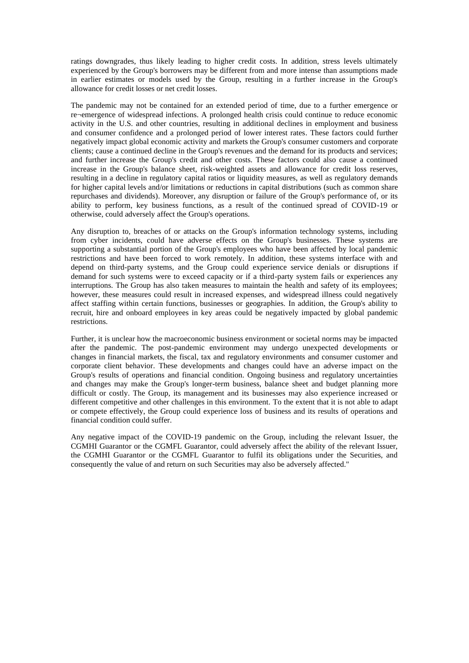ratings downgrades, thus likely leading to higher credit costs. In addition, stress levels ultimately experienced by the Group's borrowers may be different from and more intense than assumptions made in earlier estimates or models used by the Group, resulting in a further increase in the Group's allowance for credit losses or net credit losses.

The pandemic may not be contained for an extended period of time, due to a further emergence or re¬emergence of widespread infections. A prolonged health crisis could continue to reduce economic activity in the U.S. and other countries, resulting in additional declines in employment and business and consumer confidence and a prolonged period of lower interest rates. These factors could further negatively impact global economic activity and markets the Group's consumer customers and corporate clients; cause a continued decline in the Group's revenues and the demand for its products and services; and further increase the Group's credit and other costs. These factors could also cause a continued increase in the Group's balance sheet, risk-weighted assets and allowance for credit loss reserves, resulting in a decline in regulatory capital ratios or liquidity measures, as well as regulatory demands for higher capital levels and/or limitations or reductions in capital distributions (such as common share repurchases and dividends). Moreover, any disruption or failure of the Group's performance of, or its ability to perform, key business functions, as a result of the continued spread of COVID-19 or otherwise, could adversely affect the Group's operations.

Any disruption to, breaches of or attacks on the Group's information technology systems, including from cyber incidents, could have adverse effects on the Group's businesses. These systems are supporting a substantial portion of the Group's employees who have been affected by local pandemic restrictions and have been forced to work remotely. In addition, these systems interface with and depend on third-party systems, and the Group could experience service denials or disruptions if demand for such systems were to exceed capacity or if a third-party system fails or experiences any interruptions. The Group has also taken measures to maintain the health and safety of its employees; however, these measures could result in increased expenses, and widespread illness could negatively affect staffing within certain functions, businesses or geographies. In addition, the Group's ability to recruit, hire and onboard employees in key areas could be negatively impacted by global pandemic restrictions.

Further, it is unclear how the macroeconomic business environment or societal norms may be impacted after the pandemic. The post-pandemic environment may undergo unexpected developments or changes in financial markets, the fiscal, tax and regulatory environments and consumer customer and corporate client behavior. These developments and changes could have an adverse impact on the Group's results of operations and financial condition. Ongoing business and regulatory uncertainties and changes may make the Group's longer-term business, balance sheet and budget planning more difficult or costly. The Group, its management and its businesses may also experience increased or different competitive and other challenges in this environment. To the extent that it is not able to adapt or compete effectively, the Group could experience loss of business and its results of operations and financial condition could suffer.

Any negative impact of the COVID-19 pandemic on the Group, including the relevant Issuer, the CGMHI Guarantor or the CGMFL Guarantor, could adversely affect the ability of the relevant Issuer, the CGMHI Guarantor or the CGMFL Guarantor to fulfil its obligations under the Securities, and consequently the value of and return on such Securities may also be adversely affected."